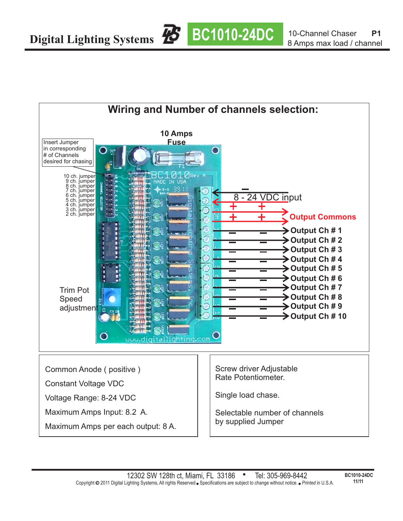